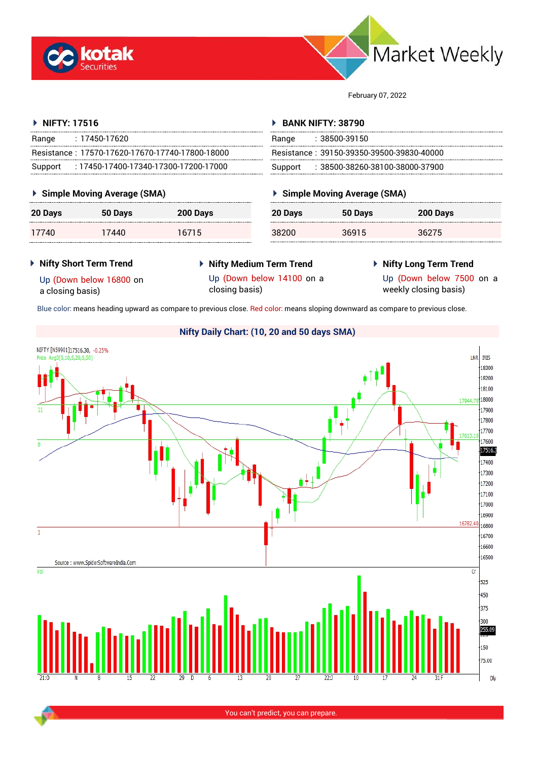



February 07, 2022

### **NIFTY: 17516**

| $\triangleright$ NIFTY: 17516                   | <b>BANK NIFTY: 38790</b>                     |  |
|-------------------------------------------------|----------------------------------------------|--|
| : 17450-17620                                   | :38500-39150                                 |  |
| Range                                           | Range                                        |  |
| Resistance: 17570-17620-17670-17740-17800-18000 | Resistance: 39150-39350-39500-39830-40000    |  |
| : 17450-17400-17340-17300-17200-17000           | $: 38500$ -38260-38100-38000-37900 $: 38500$ |  |
| Support                                         | Support                                      |  |

#### **Simple Moving Average (SMA)**

| 20 Days | 50 Days | 200 Days |
|---------|---------|----------|
| 17740   | 17440   | 16715    |

| Range   | : 38500-39150                             |
|---------|-------------------------------------------|
|         | Resistance: 39150-39350-39500-39830-40000 |
| Support | $\pm 38500$ -38260-38100-38000-37900      |

### **Simple Moving Average (SMA)**

| 20 Days | 50 Days | 200 Days |
|---------|---------|----------|
| 38200   | 36915   | 36275    |

#### **Nifty Short Term Trend**

 **Nifty Medium Term Trend** closing basis)

# **Nifty Long Term Trend**

Up (Down below 16800 on a closing basis)

Up (Down below 14100 on a

Up (Down below 7500 on a weekly closing basis)

Blue color: means heading upward as compare to previous close. Red color: means sloping downward as compare to previous close.

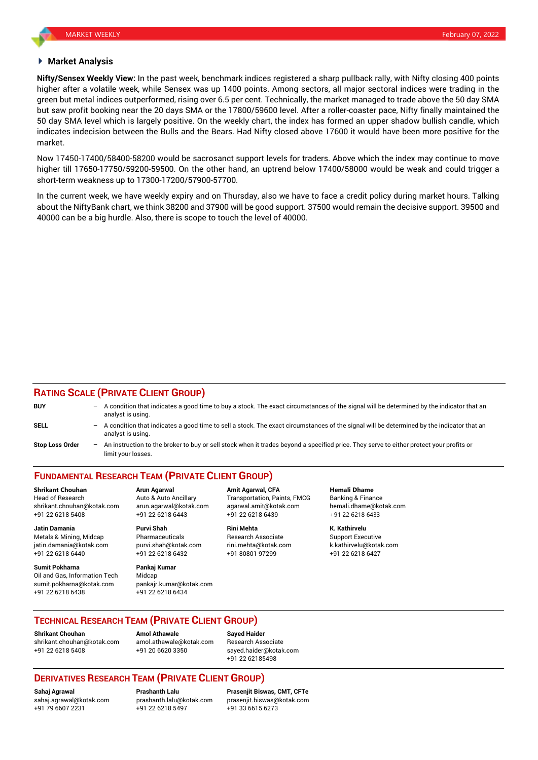#### **Market Analysis**

**Nifty/Sensex Weekly View:** In the past week, benchmark indices registered a sharp pullback rally, with Nifty closing 400 points higher after a volatile week, while Sensex was up 1400 points. Among sectors, all major sectoral indices were trading in the green but metal indices outperformed, rising over 6.5 per cent. Technically, the market managed to trade above the 50 day SMA but saw profit booking near the 20 days SMA or the 17800/59600 level. After a roller-coaster pace, Nifty finally maintained the 50 day SMA level which is largely positive. On the weekly chart, the index has formed an upper shadow bullish candle, which indicates indecision between the Bulls and the Bears. Had Nifty closed above 17600 it would have been more positive for the market.

Now 17450-17400/58400-58200 would be sacrosanct support levels for traders. Above which the index may continue to move higher till 17650-17750/59200-59500. On the other hand, an uptrend below 17400/58000 would be weak and could trigger a short-term weakness up to 17300-17200/57900-57700.

In the current week, we have weekly expiry and on Thursday, also we have to face a credit policy during market hours. Talking about the NiftyBank chart, we think 38200 and 37900 will be good support. 37500 would remain the decisive support. 39500 and 40000 can be a big hurdle. Also, there is scope to touch the level of 40000.

#### **RATING SCALE (PRIVATE CLIENT GROUP)**

| <b>BUY</b>             | A condition that indicates a good time to buy a stock. The exact circumstances of the signal will be determined by the indicator that an<br>analyst is using.  |
|------------------------|----------------------------------------------------------------------------------------------------------------------------------------------------------------|
| <b>SELL</b>            | A condition that indicates a good time to sell a stock. The exact circumstances of the signal will be determined by the indicator that an<br>analyst is using. |
| <b>Stop Loss Order</b> | An instruction to the broker to buy or sell stock when it trades beyond a specified price. They serve to either protect your profits or<br>limit your losses.  |

## **FUNDAMENTAL RESEARCH TEAM (PRIVATE CLIENT GROUP)**

Head of Research **Auto & Auto Ancillary** Transportation, Paints, FMCG Banking & Finance shrikant.chouhan@kotak.com arun.agarwal@kotak.com [agarwal.amit@kotak.com](mailto:agarwal.amit@kotak.com) hemali.dhame@kotak.com +91 22 6218 5408 +91 22 6218 6443 +91 22 6218 6439 +91 22 6218 6433

Metals & Mining, Midcap **Pharmaceuticals** Research Associate Support Executive Research Associate jatin.damania@kotak.com [purvi.shah@kotak.com](mailto:purvi.shah@kotak.com) rini.mehta@kotak.com [k.kathirvelu@kotak.com](mailto:k.kathirvelu@kotak.com) +91 22 6218 6440 +91 22 6218 6432 +91 80801 97299 +91 22 6218 6427

**Sumit Pokharna** Pankaj Kumar Oil and Gas, Information Tech Midcap sumit.pokharna@kotak.com pankajr.kumar@kotak.com +91 22 6218 6438 +91 22 6218 6434

**Jatin Damania Purvi Shah Rini Mehta K. Kathirvelu**

**Shrikant Chouhan Arun Agarwal Amit Agarwal, CFA Hemali Dhame**

### **TECHNICAL RESEARCH TEAM (PRIVATE CLIENT GROUP)**

**Shrikant Chouhan Amol Athawale Sayed Haider** [shrikant.chouhan@kotak.com](mailto:shrikant.chouhan@kotak.com) [amol.athawale@kotak.com](mailto:amol.athawale@kotak.com) Research Associate +91 22 6218 5408 +91 20 6620 3350 [sayed.haider@kotak.com](mailto:sayed.haider@kotak.com)

+91 22 62185498

### **DERIVATIVES RESEARCH TEAM (PRIVATE CLIENT GROUP)**

+91 79 6607 2231 +91 22 6218 5497 +91 33 6615 6273

**Sahaj Agrawal Prashanth Lalu Prasenjit Biswas, CMT, CFTe** [sahaj.agrawal@kotak.com](mailto:sahaj.agrawal@kotak.com) [prashanth.lalu@kotak.com](mailto:prashanth.lalu@kotak.com) [prasenjit.biswas@kotak.com](mailto:prasenjit.biswas@kotak.com)